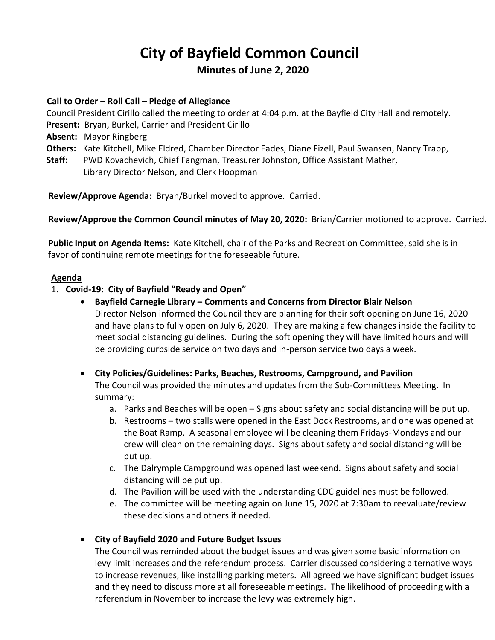# **City of Bayfield Common Council**

## **Minutes of June 2, 2020**

## **Call to Order – Roll Call – Pledge of Allegiance**

 Council President Cirillo called the meeting to order at 4:04 p.m. at the Bayfield City Hall and remotely. **Present:** Bryan, Burkel, Carrier and President Cirillo

 **Absent:** Mayor Ringberg

**Others:** Kate Kitchell, Mike Eldred, Chamber Director Eades, Diane Fizell, Paul Swansen, Nancy Trapp,

 **Staff:** PWD Kovachevich, Chief Fangman, Treasurer Johnston, Office Assistant Mather, Library Director Nelson, and Clerk Hoopman

 **Review/Approve Agenda:** Bryan/Burkel moved to approve. Carried.

**Review/Approve the Common Council minutes of May 20, 2020:** Brian/Carrier motioned to approve. Carried.

**Public Input on Agenda Items:** Kate Kitchell, chair of the Parks and Recreation Committee, said she is in favor of continuing remote meetings for the foreseeable future.

### **Agenda**

- 1. **Covid-19: City of Bayfield "Ready and Open"**
	- **Bayfield Carnegie Library – Comments and Concerns from Director Blair Nelson** Director Nelson informed the Council they are planning for their soft opening on June 16, 2020 and have plans to fully open on July 6, 2020. They are making a few changes inside the facility to meet social distancing guidelines. During the soft opening they will have limited hours and will be providing curbside service on two days and in-person service two days a week.
	- **City Policies/Guidelines: Parks, Beaches, Restrooms, Campground, and Pavilion** The Council was provided the minutes and updates from the Sub-Committees Meeting. In summary:
		- a. Parks and Beaches will be open Signs about safety and social distancing will be put up.
		- b. Restrooms two stalls were opened in the East Dock Restrooms, and one was opened at the Boat Ramp. A seasonal employee will be cleaning them Fridays-Mondays and our crew will clean on the remaining days. Signs about safety and social distancing will be put up.
		- c. The Dalrymple Campground was opened last weekend. Signs about safety and social distancing will be put up.
		- d. The Pavilion will be used with the understanding CDC guidelines must be followed.
		- e. The committee will be meeting again on June 15, 2020 at 7:30am to reevaluate/review these decisions and others if needed.

### • **City of Bayfield 2020 and Future Budget Issues**

The Council was reminded about the budget issues and was given some basic information on levy limit increases and the referendum process. Carrier discussed considering alternative ways to increase revenues, like installing parking meters. All agreed we have significant budget issues and they need to discuss more at all foreseeable meetings. The likelihood of proceeding with a referendum in November to increase the levy was extremely high.